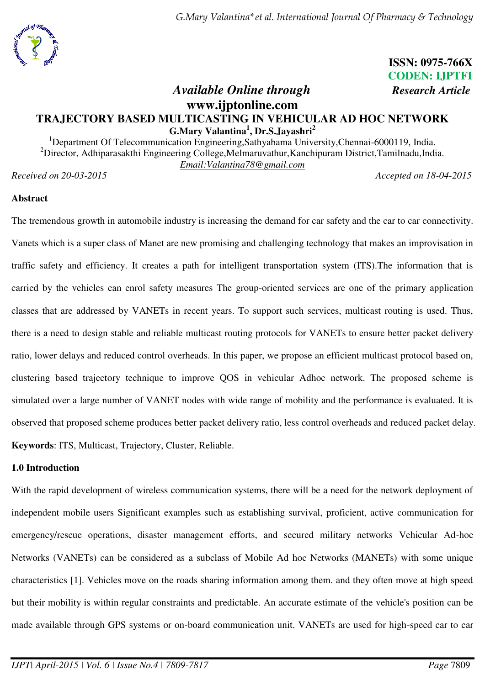

**ISSN: 0975-766X** **CODEN: IJPTFI** 

# *Available Online through Research Article* **www.ijptonline.com TRAJECTORY BASED MULTICASTING IN VEHICULAR AD HOC NETWORK G.Mary Valantina<sup>1</sup> , Dr.S.Jayashri<sup>2</sup>**

<sup>1</sup>Department Of Telecommunication Engineering, Sathyabama University, Chennai-6000119, India.  $2^2$ Director, Adhiparasakthi Engineering College,Melmaruvathur,Kanchipuram District,Tamilnadu,India. *Email:Valantina78@gmail.com* 

*Received on 20-03-2015 Accepted on 18-04-2015*

### **Abstract**

The tremendous growth in automobile industry is increasing the demand for car safety and the car to car connectivity. Vanets which is a super class of Manet are new promising and challenging technology that makes an improvisation in traffic safety and efficiency. It creates a path for intelligent transportation system (ITS).The information that is carried by the vehicles can enrol safety measures The group-oriented services are one of the primary application classes that are addressed by VANETs in recent years. To support such services, multicast routing is used. Thus, there is a need to design stable and reliable multicast routing protocols for VANETs to ensure better packet delivery ratio, lower delays and reduced control overheads. In this paper, we propose an efficient multicast protocol based on, clustering based trajectory technique to improve QOS in vehicular Adhoc network. The proposed scheme is simulated over a large number of VANET nodes with wide range of mobility and the performance is evaluated. It is observed that proposed scheme produces better packet delivery ratio, less control overheads and reduced packet delay. **Keywords**: ITS, Multicast, Trajectory, Cluster, Reliable.

### **1.0 Introduction**

With the rapid development of wireless communication systems, there will be a need for the network deployment of independent mobile users Significant examples such as establishing survival, proficient, active communication for emergency/rescue operations, disaster management efforts, and secured military networks Vehicular Ad-hoc Networks (VANETs) can be considered as a subclass of Mobile Ad hoc Networks (MANETs) with some unique characteristics [1]. Vehicles move on the roads sharing information among them. and they often move at high speed but their mobility is within regular constraints and predictable. An accurate estimate of the vehicle's position can be made available through GPS systems or on-board communication unit. VANETs are used for high-speed car to car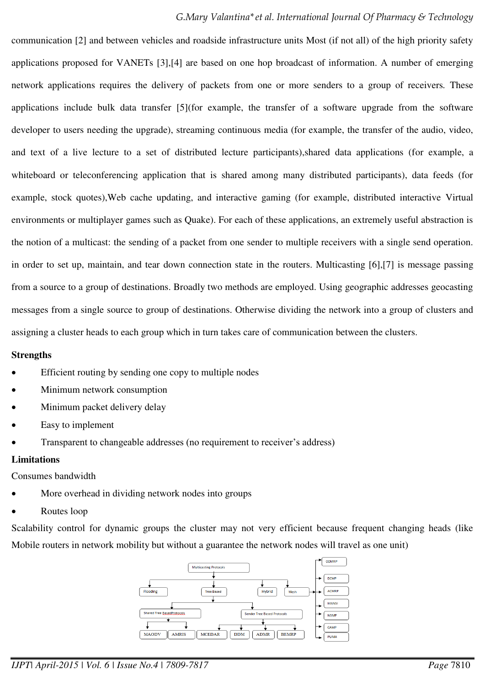### *G.Mary Valantina\*et al. International Journal Of Pharmacy & Technology*

communication [2] and between vehicles and roadside infrastructure units Most (if not all) of the high priority safety applications proposed for VANETs [3],[4] are based on one hop broadcast of information. A number of emerging network applications requires the delivery of packets from one or more senders to a group of receivers*.* These applications include bulk data transfer [5](for example, the transfer of a software upgrade from the software developer to users needing the upgrade), streaming continuous media (for example, the transfer of the audio, video, and text of a live lecture to a set of distributed lecture participants),shared data applications (for example, a whiteboard or teleconferencing application that is shared among many distributed participants), data feeds (for example, stock quotes),Web cache updating, and interactive gaming (for example, distributed interactive Virtual environments or multiplayer games such as Quake). For each of these applications, an extremely useful abstraction is the notion of a multicast: the sending of a packet from one sender to multiple receivers with a single send operation. in order to set up, maintain, and tear down connection state in the routers. Multicasting [6],[7] is message passing from a source to a group of destinations. Broadly two methods are employed. Using geographic addresses geocasting messages from a single source to group of destinations. Otherwise dividing the network into a group of clusters and assigning a cluster heads to each group which in turn takes care of communication between the clusters.

#### **Strengths**

- Efficient routing by sending one copy to multiple nodes
- Minimum network consumption
- Minimum packet delivery delay
- Easy to implement
- Transparent to changeable addresses (no requirement to receiver's address)

#### **Limitations**

Consumes bandwidth

- More overhead in dividing network nodes into groups
- Routes loop

Scalability control for dynamic groups the cluster may not very efficient because frequent changing heads (like Mobile routers in network mobility but without a guarantee the network nodes will travel as one unit)

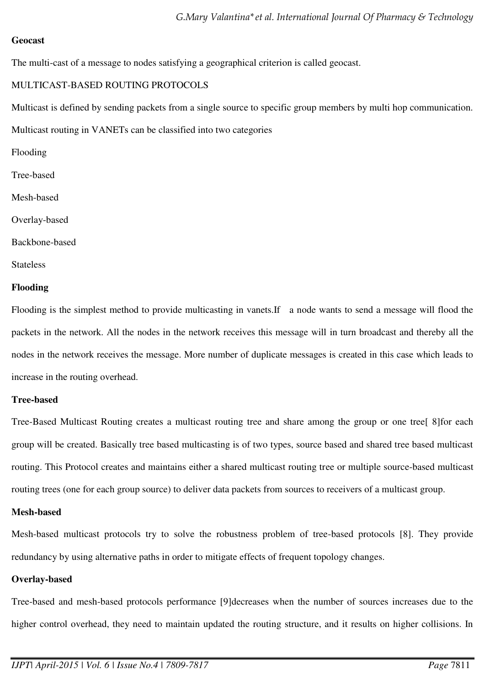### **Geocast**

The multi-cast of a message to nodes satisfying a geographical criterion is called geocast.

### MULTICAST-BASED ROUTING PROTOCOLS

Multicast is defined by sending packets from a single source to specific group members by multi hop communication. Multicast routing in VANETs can be classified into two categories

- Flooding
- Tree-based
- Mesh-based
- Overlay-based
- Backbone-based
- **Stateless**

## **Flooding**

Flooding is the simplest method to provide multicasting in vanets.If a node wants to send a message will flood the packets in the network. All the nodes in the network receives this message will in turn broadcast and thereby all the nodes in the network receives the message. More number of duplicate messages is created in this case which leads to increase in the routing overhead.

### **Tree-based**

Tree-Based Multicast Routing creates a multicast routing tree and share among the group or one tree[ 8]for each group will be created. Basically tree based multicasting is of two types, source based and shared tree based multicast routing. This Protocol creates and maintains either a shared multicast routing tree or multiple source-based multicast routing trees (one for each group source) to deliver data packets from sources to receivers of a multicast group.

### **Mesh-based**

Mesh-based multicast protocols try to solve the robustness problem of tree-based protocols [8]. They provide redundancy by using alternative paths in order to mitigate effects of frequent topology changes.

### **Overlay-based**

Tree-based and mesh-based protocols performance [9]decreases when the number of sources increases due to the higher control overhead, they need to maintain updated the routing structure, and it results on higher collisions. In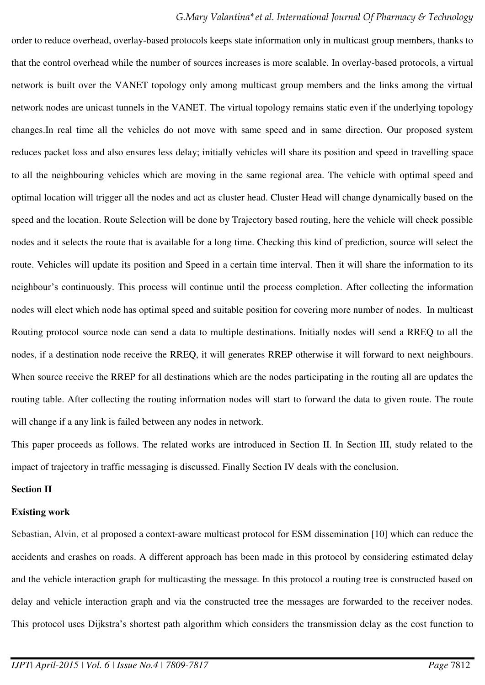order to reduce overhead, overlay-based protocols keeps state information only in multicast group members, thanks to that the control overhead while the number of sources increases is more scalable. In overlay-based protocols, a virtual network is built over the VANET topology only among multicast group members and the links among the virtual network nodes are unicast tunnels in the VANET. The virtual topology remains static even if the underlying topology changes.In real time all the vehicles do not move with same speed and in same direction. Our proposed system reduces packet loss and also ensures less delay; initially vehicles will share its position and speed in travelling space to all the neighbouring vehicles which are moving in the same regional area. The vehicle with optimal speed and optimal location will trigger all the nodes and act as cluster head. Cluster Head will change dynamically based on the speed and the location. Route Selection will be done by Trajectory based routing, here the vehicle will check possible nodes and it selects the route that is available for a long time. Checking this kind of prediction, source will select the route. Vehicles will update its position and Speed in a certain time interval. Then it will share the information to its neighbour's continuously. This process will continue until the process completion. After collecting the information nodes will elect which node has optimal speed and suitable position for covering more number of nodes. In multicast Routing protocol source node can send a data to multiple destinations. Initially nodes will send a RREQ to all the nodes, if a destination node receive the RREQ, it will generates RREP otherwise it will forward to next neighbours. When source receive the RREP for all destinations which are the nodes participating in the routing all are updates the routing table. After collecting the routing information nodes will start to forward the data to given route. The route will change if a any link is failed between any nodes in network.

This paper proceeds as follows. The related works are introduced in Section II. In Section III, study related to the impact of trajectory in traffic messaging is discussed. Finally Section IV deals with the conclusion.

## **Section II**

### **Existing work**

Sebastian, Alvin, et al proposed a context-aware multicast protocol for ESM dissemination [10] which can reduce the accidents and crashes on roads. A different approach has been made in this protocol by considering estimated delay and the vehicle interaction graph for multicasting the message. In this protocol a routing tree is constructed based on delay and vehicle interaction graph and via the constructed tree the messages are forwarded to the receiver nodes. This protocol uses Dijkstra's shortest path algorithm which considers the transmission delay as the cost function to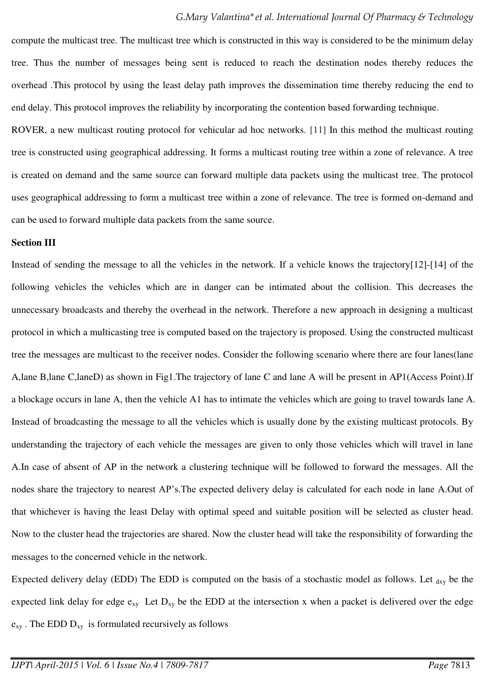compute the multicast tree. The multicast tree which is constructed in this way is considered to be the minimum delay tree. Thus the number of messages being sent is reduced to reach the destination nodes thereby reduces the overhead .This protocol by using the least delay path improves the dissemination time thereby reducing the end to end delay. This protocol improves the reliability by incorporating the contention based forwarding technique.

ROVER, a new multicast routing protocol for vehicular ad hoc networks. [11] In this method the multicast routing tree is constructed using geographical addressing. It forms a multicast routing tree within a zone of relevance. A tree is created on demand and the same source can forward multiple data packets using the multicast tree. The protocol uses geographical addressing to form a multicast tree within a zone of relevance. The tree is formed on-demand and can be used to forward multiple data packets from the same source.

#### **Section III**

Instead of sending the message to all the vehicles in the network. If a vehicle knows the trajectory[12]-[14] of the following vehicles the vehicles which are in danger can be intimated about the collision. This decreases the unnecessary broadcasts and thereby the overhead in the network. Therefore a new approach in designing a multicast protocol in which a multicasting tree is computed based on the trajectory is proposed. Using the constructed multicast tree the messages are multicast to the receiver nodes. Consider the following scenario where there are four lanes(lane A,lane B,lane C,laneD) as shown in Fig1.The trajectory of lane C and lane A will be present in AP1(Access Point).If a blockage occurs in lane A, then the vehicle A1 has to intimate the vehicles which are going to travel towards lane A. Instead of broadcasting the message to all the vehicles which is usually done by the existing multicast protocols. By understanding the trajectory of each vehicle the messages are given to only those vehicles which will travel in lane A.In case of absent of AP in the network a clustering technique will be followed to forward the messages. All the nodes share the trajectory to nearest AP's.The expected delivery delay is calculated for each node in lane A.Out of that whichever is having the least Delay with optimal speed and suitable position will be selected as cluster head. Now to the cluster head the trajectories are shared. Now the cluster head will take the responsibility of forwarding the messages to the concerned vehicle in the network.

Expected delivery delay (EDD) The EDD is computed on the basis of a stochastic model as follows. Let  $_{\rm{dxy}}$  be the expected link delay for edge  $e_{xy}$  Let  $D_{xy}$  be the EDD at the intersection x when a packet is delivered over the edge  $e_{xy}$ . The EDD  $D_{xy}$  is formulated recursively as follows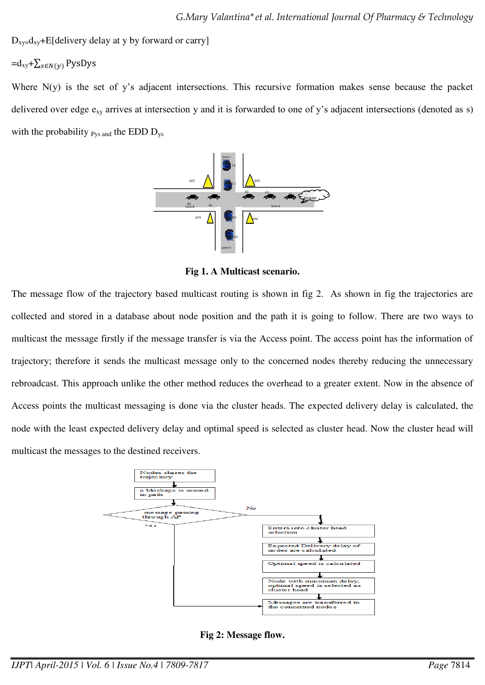$D_{xy}=d_{xy}+E[delivery$  delay at y by forward or carry]

## $=d_{xy}+\sum_{s\in N(y)}$  PysDys

Where N(y) is the set of y's adjacent intersections. This recursive formation makes sense because the packet delivered over edge  $e_{xy}$  arrives at intersection y and it is forwarded to one of y's adjacent intersections (denoted as s) with the probability  $_{\text{Pvs and}}$  the EDD  $\text{D}_{\text{vs}}$ 



**Fig 1. A Multicast scenario.** 

The message flow of the trajectory based multicast routing is shown in fig 2. As shown in fig the trajectories are collected and stored in a database about node position and the path it is going to follow. There are two ways to multicast the message firstly if the message transfer is via the Access point. The access point has the information of trajectory; therefore it sends the multicast message only to the concerned nodes thereby reducing the unnecessary rebroadcast. This approach unlike the other method reduces the overhead to a greater extent. Now in the absence of Access points the multicast messaging is done via the cluster heads. The expected delivery delay is calculated, the node with the least expected delivery delay and optimal speed is selected as cluster head. Now the cluster head will multicast the messages to the destined receivers.



**Fig 2: Message flow.**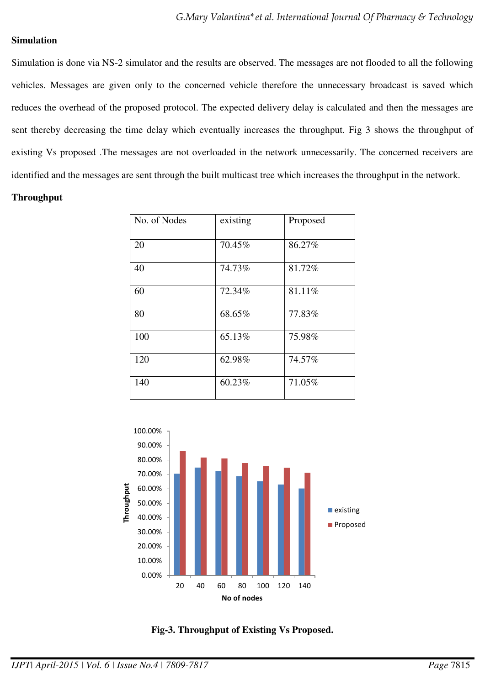#### **Simulation**

Simulation is done via NS-2 simulator and the results are observed. The messages are not flooded to all the following vehicles. Messages are given only to the concerned vehicle therefore the unnecessary broadcast is saved which reduces the overhead of the proposed protocol. The expected delivery delay is calculated and then the messages are sent thereby decreasing the time delay which eventually increases the throughput. Fig 3 shows the throughput of existing Vs proposed .The messages are not overloaded in the network unnecessarily. The concerned receivers are identified and the messages are sent through the built multicast tree which increases the throughput in the network.

### **Throughput**

| No. of Nodes | existing | Proposed |
|--------------|----------|----------|
| 20           | 70.45%   | 86.27%   |
| 40           | 74.73%   | 81.72%   |
| 60           | 72.34%   | 81.11%   |
| 80           | 68.65%   | 77.83%   |
| 100          | 65.13%   | 75.98%   |
| 120          | 62.98%   | 74.57%   |
| 140          | 60.23%   | 71.05%   |



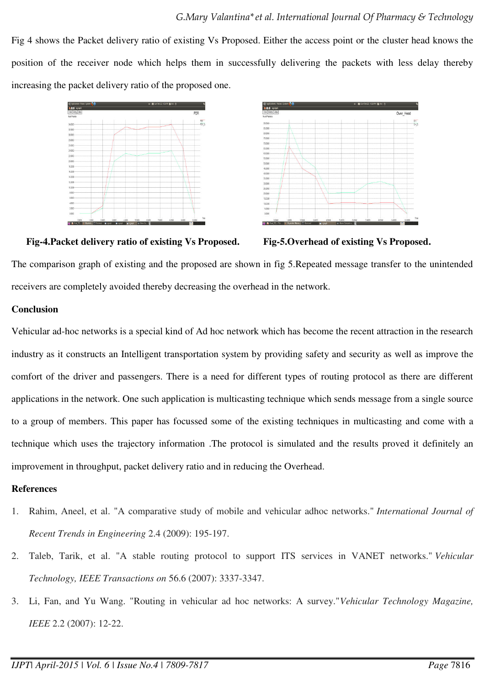Fig 4 shows the Packet delivery ratio of existing Vs Proposed. Either the access point or the cluster head knows the position of the receiver node which helps them in successfully delivering the packets with less delay thereby increasing the packet delivery ratio of the proposed one.





**Fig-4.Packet delivery ratio of existing Vs Proposed. Fig-5.Overhead of existing Vs Proposed.** 

The comparison graph of existing and the proposed are shown in fig 5.Repeated message transfer to the unintended receivers are completely avoided thereby decreasing the overhead in the network.

## **Conclusion**

Vehicular ad-hoc networks is a special kind of Ad hoc network which has become the recent attraction in the research industry as it constructs an Intelligent transportation system by providing safety and security as well as improve the comfort of the driver and passengers. There is a need for different types of routing protocol as there are different applications in the network. One such application is multicasting technique which sends message from a single source to a group of members. This paper has focussed some of the existing techniques in multicasting and come with a technique which uses the trajectory information .The protocol is simulated and the results proved it definitely an improvement in throughput, packet delivery ratio and in reducing the Overhead.

## **References**

- 1. Rahim, Aneel, et al. "A comparative study of mobile and vehicular adhoc networks." *International Journal of Recent Trends in Engineering* 2.4 (2009): 195-197.
- 2. Taleb, Tarik, et al. "A stable routing protocol to support ITS services in VANET networks." *Vehicular Technology, IEEE Transactions on* 56.6 (2007): 3337-3347.
- 3. Li, Fan, and Yu Wang. "Routing in vehicular ad hoc networks: A survey."*Vehicular Technology Magazine, IEEE* 2.2 (2007): 12-22.